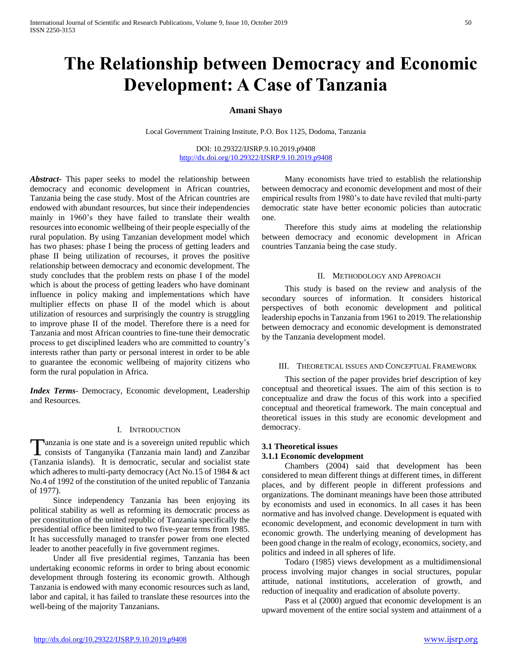# **The Relationship between Democracy and Economic Development: A Case of Tanzania**

## **Amani Shayo**

Local Government Training Institute, P.O. Box 1125, Dodoma, Tanzania

DOI: 10.29322/IJSRP.9.10.2019.p9408 <http://dx.doi.org/10.29322/IJSRP.9.10.2019.p9408>

*Abstract***-** This paper seeks to model the relationship between democracy and economic development in African countries, Tanzania being the case study. Most of the African countries are endowed with abundant resources, but since their independencies mainly in 1960's they have failed to translate their wealth resources into economic wellbeing of their people especially of the rural population. By using Tanzanian development model which has two phases: phase I being the process of getting leaders and phase II being utilization of recourses, it proves the positive relationship between democracy and economic development. The study concludes that the problem rests on phase I of the model which is about the process of getting leaders who have dominant influence in policy making and implementations which have multiplier effects on phase II of the model which is about utilization of resources and surprisingly the country is struggling to improve phase II of the model. Therefore there is a need for Tanzania and most African countries to fine-tune their democratic process to get disciplined leaders who are committed to country's interests rather than party or personal interest in order to be able to guarantee the economic wellbeing of majority citizens who form the rural population in Africa.

*Index Terms*- Democracy, Economic development, Leadership and Resources.

#### I. INTRODUCTION

anzania is one state and is a sovereign united republic which Tanzania is one state and is a sovereign united republic which consists of Tanganyika (Tanzania main land) and Zanzibar (Tanzania islands). It is democratic, secular and socialist state which adheres to multi-party democracy (Act No.15 of 1984 & act No.4 of 1992 of the constitution of the united republic of Tanzania of 1977).

 Since independency Tanzania has been enjoying its political stability as well as reforming its democratic process as per constitution of the united republic of Tanzania specifically the presidential office been limited to two five-year terms from 1985. It has successfully managed to transfer power from one elected leader to another peacefully in five government regimes.

 Under all five presidential regimes, Tanzania has been undertaking economic reforms in order to bring about economic development through fostering its economic growth. Although Tanzania is endowed with many economic resources such as land, labor and capital, it has failed to translate these resources into the well-being of the majority Tanzanians.

 Many economists have tried to establish the relationship between democracy and economic development and most of their empirical results from 1980's to date have reviled that multi-party democratic state have better economic policies than autocratic one.

 Therefore this study aims at modeling the relationship between democracy and economic development in African countries Tanzania being the case study.

## II. METHODOLOGY AND APPROACH

 This study is based on the review and analysis of the secondary sources of information. It considers historical perspectives of both economic development and political leadership epochs in Tanzania from 1961 to 2019. The relationship between democracy and economic development is demonstrated by the Tanzania development model.

#### III. THEORETICAL ISSUES AND CONCEPTUAL FRAMEWORK

 This section of the paper provides brief description of key conceptual and theoretical issues. The aim of this section is to conceptualize and draw the focus of this work into a specified conceptual and theoretical framework. The main conceptual and theoretical issues in this study are economic development and democracy.

# **3.1 Theoretical issues 3.1.1 Economic development**

 Chambers (2004) said that development has been considered to mean different things at different times, in different places, and by different people in different professions and organizations. The dominant meanings have been those attributed by economists and used in economics. In all cases it has been normative and has involved change. Development is equated with economic development, and economic development in turn with economic growth. The underlying meaning of development has been good change in the realm of ecology, economics, society, and politics and indeed in all spheres of life.

 Todaro (1985) views development as a multidimensional process involving major changes in social structures, popular attitude, national institutions, acceleration of growth, and reduction of inequality and eradication of absolute poverty.

 Pass et al (2000) argued that economic development is an upward movement of the entire social system and attainment of a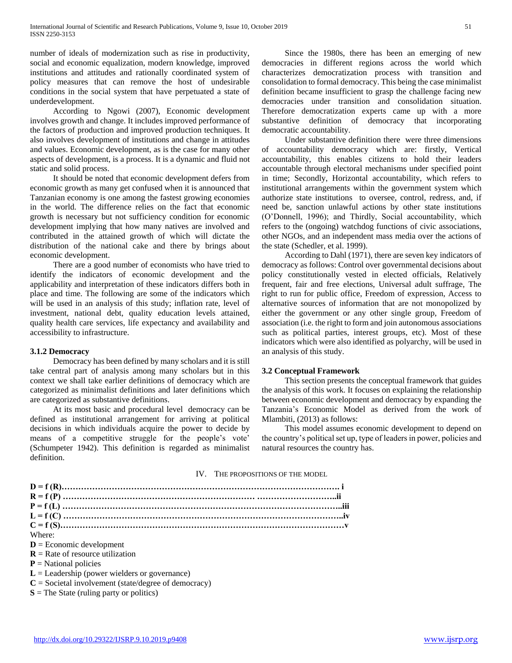number of ideals of modernization such as rise in productivity, social and economic equalization, modern knowledge, improved institutions and attitudes and rationally coordinated system of policy measures that can remove the host of undesirable conditions in the social system that have perpetuated a state of underdevelopment.

 According to Ngowi (2007), Economic development involves growth and change. It includes improved performance of the factors of production and improved production techniques. It also involves development of institutions and change in attitudes and values. Economic development, as is the case for many other aspects of development, is a process. It is a dynamic and fluid not static and solid process.

 It should be noted that economic development defers from economic growth as many get confused when it is announced that Tanzanian economy is one among the fastest growing economies in the world. The difference relies on the fact that economic growth is necessary but not sufficiency condition for economic development implying that how many natives are involved and contributed in the attained growth of which will dictate the distribution of the national cake and there by brings about economic development.

 There are a good number of economists who have tried to identify the indicators of economic development and the applicability and interpretation of these indicators differs both in place and time. The following are some of the indicators which will be used in an analysis of this study; inflation rate, level of investment, national debt, quality education levels attained, quality health care services, life expectancy and availability and accessibility to infrastructure.

## **3.1.2 Democracy**

 Democracy has been defined by many scholars and it is still take central part of analysis among many scholars but in this context we shall take earlier definitions of democracy which are categorized as minimalist definitions and later definitions which are categorized as substantive definitions.

 At its most basic and procedural level democracy can be defined as institutional arrangement for arriving at political decisions in which individuals acquire the power to decide by means of a competitive struggle for the people's vote' (Schumpeter 1942). This definition is regarded as minimalist definition.

 Since the 1980s, there has been an emerging of new democracies in different regions across the world which characterizes democratization process with transition and consolidation to formal democracy. This being the case minimalist definition became insufficient to grasp the challenge facing new democracies under transition and consolidation situation. Therefore democratization experts came up with a more substantive definition of democracy that incorporating democratic accountability.

 Under substantive definition there were three dimensions of accountability democracy which are: firstly, Vertical accountability, this enables citizens to hold their leaders accountable through electoral mechanisms under specified point in time; Secondly, Horizontal accountability, which refers to institutional arrangements within the government system which authorize state institutions to oversee, control, redress, and, if need be, sanction unlawful actions by other state institutions (O'Donnell, 1996); and Thirdly, Social accountability, which refers to the (ongoing) watchdog functions of civic associations, other NGOs, and an independent mass media over the actions of the state (Schedler, et al. 1999).

 According to Dahl (1971), there are seven key indicators of democracy as follows: Control over governmental decisions about policy constitutionally vested in elected officials, Relatively frequent, fair and free elections, Universal adult suffrage, The right to run for public office, Freedom of expression, Access to alternative sources of information that are not monopolized by either the government or any other single group, Freedom of association (i.e. the right to form and join autonomous associations such as political parties, interest groups, etc). Most of these indicators which were also identified as polyarchy, will be used in an analysis of this study.

## **3.2 Conceptual Framework**

 This section presents the conceptual framework that guides the analysis of this work. It focuses on explaining the relationship between economic development and democracy by expanding the Tanzania's Economic Model as derived from the work of Mlambiti, (2013) as follows:

 This model assumes economic development to depend on the country's political set up, type of leaders in power, policies and natural resources the country has.

#### IV. THE PROPOSITIONS OF THE MODEL

| Where:                                                 |  |
|--------------------------------------------------------|--|
| $D =$ Economic development                             |  |
| $R$ = Rate of resource utilization                     |  |
| $P =$ National policies                                |  |
| $L =$ Leadership (power wielders or governance)        |  |
| $C =$ Societal involvement (state/degree of democracy) |  |
| $S$ = The State (ruling party or politics)             |  |
|                                                        |  |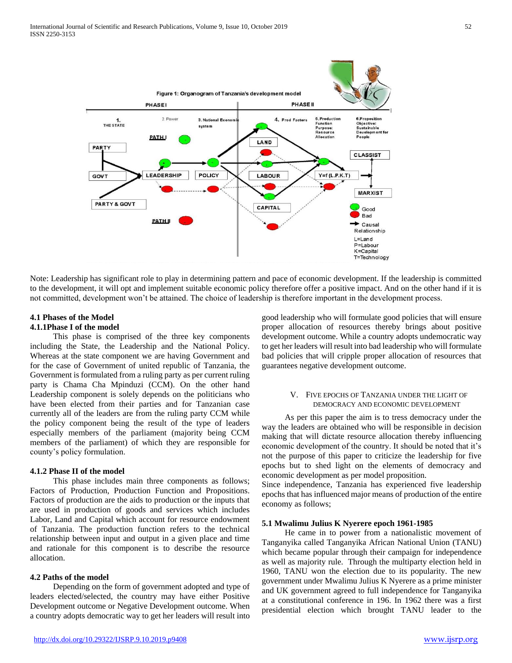

Note: Leadership has significant role to play in determining pattern and pace of economic development. If the leadership is committed to the development, it will opt and implement suitable economic policy therefore offer a positive impact. And on the other hand if it is not committed, development won't be attained. The choice of leadership is therefore important in the development process.

#### **4.1 Phases of the Model 4.1.1Phase I of the model**

 This phase is comprised of the three key components including the State, the Leadership and the National Policy. Whereas at the state component we are having Government and for the case of Government of united republic of Tanzania, the Government is formulated from a ruling party as per current ruling party is Chama Cha Mpinduzi (CCM). On the other hand Leadership component is solely depends on the politicians who have been elected from their parties and for Tanzanian case currently all of the leaders are from the ruling party CCM while the policy component being the result of the type of leaders especially members of the parliament (majority being CCM members of the parliament) of which they are responsible for county's policy formulation.

## **4.1.2 Phase II of the model**

 This phase includes main three components as follows; Factors of Production, Production Function and Propositions. Factors of production are the aids to production or the inputs that are used in production of goods and services which includes Labor, Land and Capital which account for resource endowment of Tanzania. The production function refers to the technical relationship between input and output in a given place and time and rationale for this component is to describe the resource allocation.

## **4.2 Paths of the model**

 Depending on the form of government adopted and type of leaders elected/selected, the country may have either Positive Development outcome or Negative Development outcome. When a country adopts democratic way to get her leaders will result into

good leadership who will formulate good policies that will ensure proper allocation of resources thereby brings about positive development outcome. While a country adopts undemocratic way to get her leaders will result into bad leadership who will formulate bad policies that will cripple proper allocation of resources that guarantees negative development outcome.

## V. FIVE EPOCHS OF TANZANIA UNDER THE LIGHT OF DEMOCRACY AND ECONOMIC DEVELOPMENT

 As per this paper the aim is to tress democracy under the way the leaders are obtained who will be responsible in decision making that will dictate resource allocation thereby influencing economic development of the country. It should be noted that it's not the purpose of this paper to criticize the leadership for five epochs but to shed light on the elements of democracy and economic development as per model proposition.

Since independence, Tanzania has experienced five leadership epochs that has influenced major means of production of the entire economy as follows;

## **5.1 Mwalimu Julius K Nyerere epoch 1961-1985**

 He came in to power from a nationalistic movement of Tanganyika called Tanganyika African National Union (TANU) which became popular through their campaign for independence as well as majority rule. Through the multiparty election held in 1960, TANU won the election due to its popularity. The new government under Mwalimu Julius K Nyerere as a prime minister and UK government agreed to full independence for Tanganyika at a constitutional conference in 196. In 1962 there was a first presidential election which brought TANU leader to the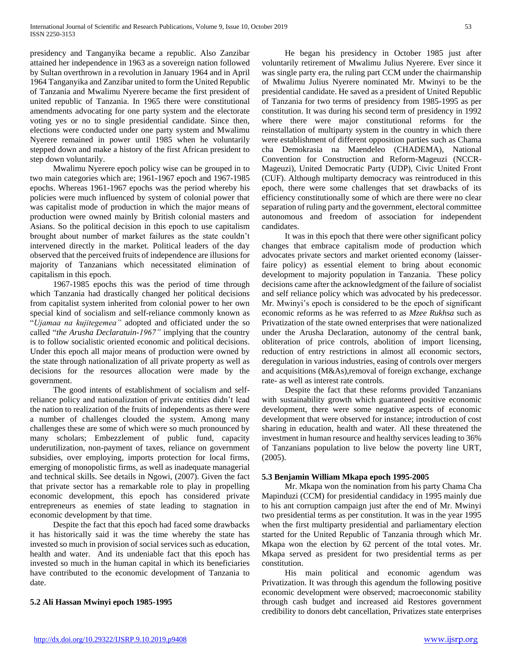presidency and Tanganyika became a republic. Also Zanzibar attained her independence in 1963 as a sovereign nation followed by Sultan overthrown in a revolution in January 1964 and in April 1964 Tanganyika and Zanzibar united to form the United Republic of Tanzania and Mwalimu Nyerere became the first president of united republic of Tanzania. In 1965 there were constitutional amendments advocating for one party system and the electorate voting yes or no to single presidential candidate. Since then, elections were conducted under one party system and Mwalimu Nyerere remained in power until 1985 when he voluntarily stepped down and make a history of the first African president to step down voluntarily.

 Mwalimu Nyerere epoch policy wise can be grouped in to two main categories which are; 1961-1967 epoch and 1967-1985 epochs. Whereas 1961-1967 epochs was the period whereby his policies were much influenced by system of colonial power that was capitalist mode of production in which the major means of production were owned mainly by British colonial masters and Asians. So the political decision in this epoch to use capitalism brought about number of market failures as the state couldn't intervened directly in the market. Political leaders of the day observed that the perceived fruits of independence are illusions for majority of Tanzanians which necessitated elimination of capitalism in this epoch.

 1967-1985 epochs this was the period of time through which Tanzania had drastically changed her political decisions from capitalist system inherited from colonial power to her own special kind of socialism and self-reliance commonly known as "*Ujamaa na kujitegemea"* adopted and officiated under the so called "*the Arusha Declaratuin-1967"* implying that the country is to follow socialistic oriented economic and political decisions. Under this epoch all major means of production were owned by the state through nationalization of all private property as well as decisions for the resources allocation were made by the government.

 The good intents of establishment of socialism and selfreliance policy and nationalization of private entities didn't lead the nation to realization of the fruits of independents as there were a number of challenges clouded the system. Among many challenges these are some of which were so much pronounced by many scholars; Embezzlement of public fund, capacity underutilization, non-payment of taxes, reliance on government subsidies, over employing, imports protection for local firms, emerging of monopolistic firms, as well as inadequate managerial and technical skills. See details in Ngowi, (2007). Given the fact that private sector has a remarkable role to play in propelling economic development, this epoch has considered private entrepreneurs as enemies of state leading to stagnation in economic development by that time.

 Despite the fact that this epoch had faced some drawbacks it has historically said it was the time whereby the state has invested so much in provision of social services such as education, health and water. And its undeniable fact that this epoch has invested so much in the human capital in which its beneficiaries have contributed to the economic development of Tanzania to date.

# **5.2 Ali Hassan Mwinyi epoch 1985-1995**

 He began his presidency in October 1985 just after voluntarily retirement of Mwalimu Julius Nyerere. Ever since it was single party era, the ruling part CCM under the chairmanship of Mwalimu Julius Nyerere nominated Mr. Mwinyi to be the presidential candidate. He saved as a president of United Republic of Tanzania for two terms of presidency from 1985-1995 as per constitution. It was during his second term of presidency in 1992 where there were major constitutional reforms for the reinstallation of multiparty system in the country in which there were establishment of different opposition parties such as Chama cha Demokrasia na Maendeleo (CHADEMA), National Convention for Construction and Reform-Mageuzi (NCCR-Mageuzi), United Democratic Party (UDP), Civic United Front (CUF). Although multiparty democracy was reintroduced in this epoch, there were some challenges that set drawbacks of its efficiency constitutionally some of which are there were no clear separation of ruling party and the government, electoral committee autonomous and freedom of association for independent candidates.

 It was in this epoch that there were other significant policy changes that embrace capitalism mode of production which advocates private sectors and market oriented economy (laisserfaire policy) as essential element to bring about economic development to majority population in Tanzania. These policy decisions came after the acknowledgment of the failure of socialist and self reliance policy which was advocated by his predecessor. Mr. Mwinyi's epoch is considered to be the epoch of significant economic reforms as he was referred to as *Mzee Rukhsa* such as Privatization of the state owned enterprises that were nationalized under the Arusha Declaration, autonomy of the central bank, obliteration of price controls, abolition of import licensing, reduction of entry restrictions in almost all economic sectors, deregulation in various industries, easing of controls over mergers and acquisitions (M&As),removal of foreign exchange, exchange rate- as well as interest rate controls.

 Despite the fact that these reforms provided Tanzanians with sustainability growth which guaranteed positive economic development, there were some negative aspects of economic development that were observed for instance; introduction of cost sharing in education, health and water. All these threatened the investment in human resource and healthy services leading to 36% of Tanzanians population to live below the poverty line URT, (2005).

## **5.3 Benjamin William Mkapa epoch 1995-2005**

 Mr. Mkapa won the nomination from his party Chama Cha Mapinduzi (CCM) for presidential candidacy in 1995 mainly due to his ant corruption campaign just after the end of Mr. Mwinyi two presidential terms as per constitution. It was in the year 1995 when the first multiparty presidential and parliamentary election started for the United Republic of Tanzania through which Mr. Mkapa won the election by 62 percent of the total votes. Mr. Mkapa served as president for two presidential terms as per constitution.

 His main political and economic agendum was Privatization. It was through this agendum the following positive economic development were observed; macroeconomic stability through cash budget and increased aid Restores government credibility to donors debt cancellation, Privatizes state enterprises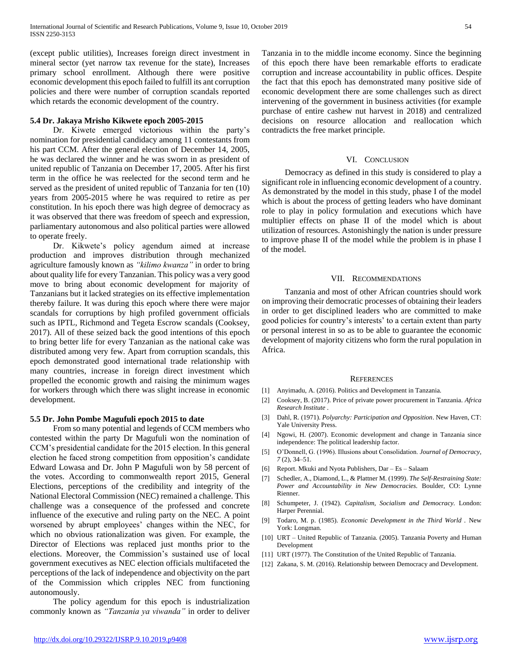(except public utilities), Increases foreign direct investment in mineral sector (yet narrow tax revenue for the state), Increases primary school enrollment. Although there were positive economic development this epoch failed to fulfill its ant corruption policies and there were number of corruption scandals reported which retards the economic development of the country.

### **5.4 Dr. Jakaya Mrisho Kikwete epoch 2005-2015**

 Dr. Kiwete emerged victorious within the party's nomination for presidential candidacy among 11 contestants from his part CCM. After the general election of December 14, 2005, he was declared the winner and he was sworn in as president of united republic of Tanzania on December 17, 2005. After his first term in the office he was reelected for the second term and he served as the president of united republic of Tanzania for ten (10) years from 2005-2015 where he was required to retire as per constitution. In his epoch there was high degree of democracy as it was observed that there was freedom of speech and expression, parliamentary autonomous and also political parties were allowed to operate freely.

 Dr. Kikwete's policy agendum aimed at increase production and improves distribution through mechanized agriculture famously known as *"kilimo kwanza"* in order to bring about quality life for every Tanzanian. This policy was a very good move to bring about economic development for majority of Tanzanians but it lacked strategies on its effective implementation thereby failure. It was during this epoch where there were major scandals for corruptions by high profiled government officials such as IPTL, Richmond and Tegeta Escrow scandals (Cooksey, 2017). All of these seized back the good intentions of this epoch to bring better life for every Tanzanian as the national cake was distributed among very few. Apart from corruption scandals, this epoch demonstrated good international trade relationship with many countries, increase in foreign direct investment which propelled the economic growth and raising the minimum wages for workers through which there was slight increase in economic development.

#### **5.5 Dr. John Pombe Magufuli epoch 2015 to date**

 From so many potential and legends of CCM members who contested within the party Dr Magufuli won the nomination of CCM's presidential candidate for the 2015 election. In this general election he faced strong competition from opposition's candidate Edward Lowasa and Dr. John P Magufuli won by 58 percent of the votes. According to commonwealth report 2015, General Elections, perceptions of the credibility and integrity of the National Electoral Commission (NEC) remained a challenge. This challenge was a consequence of the professed and concrete influence of the executive and ruling party on the NEC. A point worsened by abrupt employees' changes within the NEC, for which no obvious rationalization was given. For example, the Director of Elections was replaced just months prior to the elections. Moreover, the Commission's sustained use of local government executives as NEC election officials multifaceted the perceptions of the lack of independence and objectivity on the part of the Commission which cripples NEC from functioning autonomously.

 The policy agendum for this epoch is industrialization commonly known as *"Tanzania ya viwanda"* in order to deliver Tanzania in to the middle income economy. Since the beginning of this epoch there have been remarkable efforts to eradicate corruption and increase accountability in public offices. Despite the fact that this epoch has demonstrated many positive side of economic development there are some challenges such as direct intervening of the government in business activities (for example purchase of entire cashew nut harvest in 2018) and centralized decisions on resource allocation and reallocation which contradicts the free market principle.

### VI. CONCLUSION

 Democracy as defined in this study is considered to play a significant role in influencing economic development of a country. As demonstrated by the model in this study, phase I of the model which is about the process of getting leaders who have dominant role to play in policy formulation and executions which have multiplier effects on phase II of the model which is about utilization of resources. Astonishingly the nation is under pressure to improve phase II of the model while the problem is in phase I of the model.

#### VII. RECOMMENDATIONS

 Tanzania and most of other African countries should work on improving their democratic processes of obtaining their leaders in order to get disciplined leaders who are committed to make good policies for country's interests' to a certain extent than party or personal interest in so as to be able to guarantee the economic development of majority citizens who form the rural population in Africa.

#### **REFERENCES**

- [1] Anyimadu, A. (2016). Politics and Development in Tanzania.
- [2] Cooksey, B. (2017). Price of private power procurement in Tanzania. *Africa Research Institute* .
- [3] Dahl, R. (1971). *Polyarchy: Participation and Opposition*. New Haven, CT: Yale University Press.
- [4] Ngowi, H. (2007). Economic development and change in Tanzania since independence: The political leadership factor.
- [5] O'Donnell, G. (1996). Illusions about Consolidation. *Journal of Democracy, 7* (2), 34–51.
- [6] Report. Mkuki and Nyota Publishers, Dar Es Salaam
- [7] Schedler, A., Diamond, L., & Plattner M. (1999). *The Self-Restraining State: Power and Accountability in New Democracies.* Boulder, CO: Lynne Rienner.
- [8] Schumpeter, J. (1942). *Capitalism, Socialism and Democracy.* London: Harper Perennial.
- [9] Todaro, M. p. (1985). *Economic Development in the Third World .* New York: Longman.
- [10] URT United Republic of Tanzania. (2005). Tanzania Poverty and Human Development
- [11] URT (1977). The Constitution of the United Republic of Tanzania.
- [12] Zakana, S. M. (2016). Relationship between Democracy and Development.